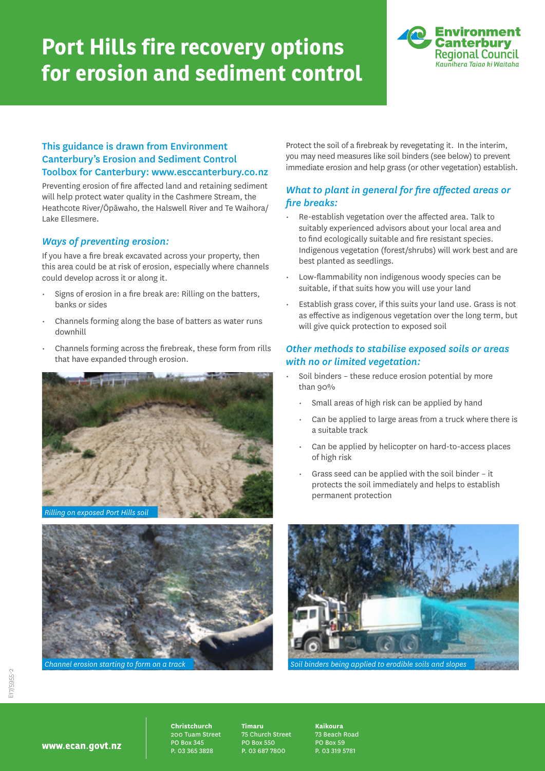# **Port Hills fire recovery options for erosion and sediment control**



#### This guidance is drawn from Environment Canterbury's Erosion and Sediment Control Toolbox for Canterbury: www.esccanterbury.co.nz

Preventing erosion of fire affected land and retaining sediment will help protect water quality in the Cashmere Stream, the Heathcote River/Ōpāwaho, the Halswell River and Te Waihora/ Lake Ellesmere.

#### *Ways of preventing erosion:*

If you have a fire break excavated across your property, then this area could be at risk of erosion, especially where channels could develop across it or along it.

- Signs of erosion in a fire break are: Rilling on the batters, banks or sides
- Channels forming along the base of batters as water runs downhill
- Channels forming across the firebreak, these form from rills that have expanded through erosion.





Protect the soil of a firebreak by revegetating it. In the interim, you may need measures like soil binders (see below) to prevent immediate erosion and help grass (or other vegetation) establish.

### *What to plant in general for fire affected areas or fire breaks:*

- Re-establish vegetation over the affected area. Talk to suitably experienced advisors about your local area and to find ecologically suitable and fire resistant species. Indigenous vegetation (forest/shrubs) will work best and are best planted as seedlings.
- Low-flammability non indigenous woody species can be suitable, if that suits how you will use your land
- Establish grass cover, if this suits your land use. Grass is not as effective as indigenous vegetation over the long term, but will give quick protection to exposed soil

#### *Other methods to stabilise exposed soils or areas with no or limited vegetation:*

- Soil binders these reduce erosion potential by more than 90%
	- Small areas of high risk can be applied by hand
	- Can be applied to large areas from a truck where there is a suitable track
	- Can be applied by helicopter on hard-to-access places of high risk
	- Grass seed can be applied with the soil binder it protects the soil immediately and helps to establish permanent protection



www.ecan.govt.nz

**Christchurch** 200 Tuam Street PO Box 345 P. 03 365 3828

**Timaru** 75 Church Street PO Box 550 P. 03 687 7800

**Kaikoura** 73 Beach Road PO Box 59 P. 03 319 5781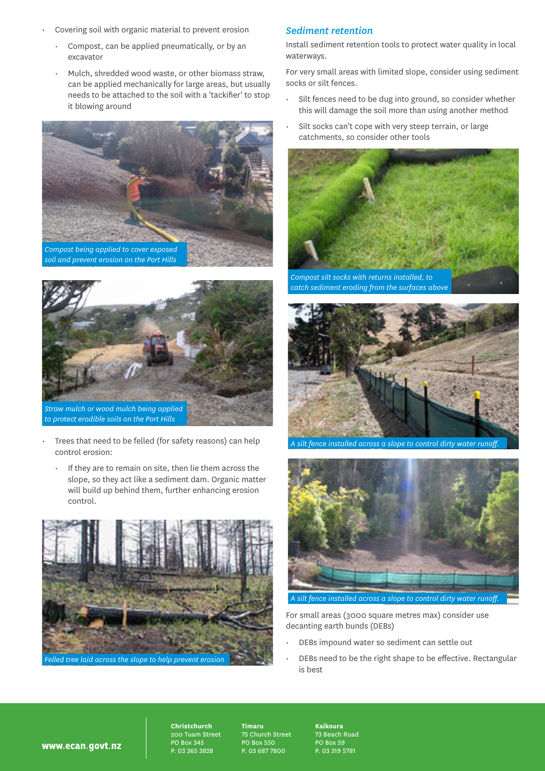- Covering soil with organic material to prevent erosion
	- Compost, can be applied pneumatically, or by an excavator
	- Mulch, shredded wood waste, or other biomass straw, can be applied mechanically for large areas, but usually needs to be attached to the soil with a 'tackifier' to stop it blowing around



*soil and prevent erosion on the Port Hills*



- Trees that need to be felled (for safety reasons) can help control erosion:
	- If they are to remain on site, then lie them across the slope, so they act like a sediment dam. Organic matter will build up behind them, further enhancing erosion control.



## *Sediment retention*

Install sediment retention tools to protect water quality in local waterways.

For very small areas with limited slope, consider using sediment socks or silt fences.

- Silt fences need to be dug into ground, so consider whether this will damage the soil more than using another method
- Silt socks can't cope with very steep terrain, or large catchments, so consider other tools





*A silt fence installed across a slope to control dirty water runoff.*



*A silt fence installed across a slope to control dirty water runoff.*

For small areas (3000 square metres max) consider use decanting earth bunds (DEBs)

- DEBs impound water so sediment can settle out
- DEBs need to be the right shape to be effective. Rectangular is best

www.ecan.govt.nz

**Christchurch** 200 Tuam Street PO Box 345 P. 03 365 3828

**Timaru** 75 Church Street PO Box 550 P. 03 687 7800

**Kaikoura** 73 Beach Road PO Box 59 P. 03 319 5781